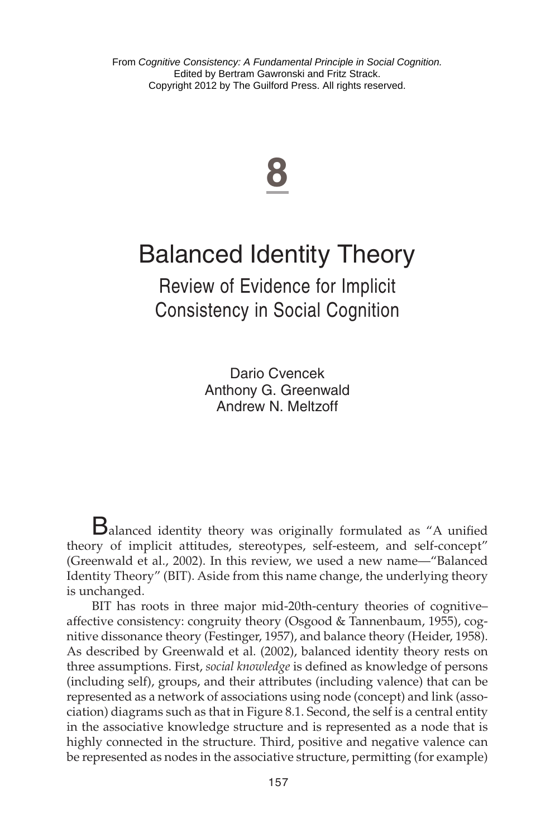From *Cognitive Consistency: A Fundamental Principle in Social Cognition.* Edited by Bertram Gawronski and Fritz Strack. Copyright 2012 by The Guilford Press. All rights reserved.



# Balanced Identity Theory

# Review of Evidence for Implicit Consistency in Social Cognition

Dario Cvencek Anthony G. Greenwald Andrew N. Meltzoff

Balanced identity theory was originally formulated as "A unified theory of implicit attitudes, stereotypes, self-esteem, and self-concept" (Greenwald et al., 2002). In this review, we used a new name—"Balanced Identity Theory" (BIT). Aside from this name change, the underlying theory is unchanged.

BIT has roots in three major mid-20th-century theories of cognitive– affective consistency: congruity theory (Osgood & Tannenbaum, 1955), cognitive dissonance theory (Festinger, 1957), and balance theory (Heider, 1958). As described by Greenwald et al. (2002), balanced identity theory rests on three assumptions. First, *social knowledge* is defined as knowledge of persons (including self), groups, and their attributes (including valence) that can be represented as a network of associations using node (concept) and link (association) diagrams such as that in Figure 8.1. Second, the self is a central entity in the associative knowledge structure and is represented as a node that is highly connected in the structure. Third, positive and negative valence can be represented as nodes in the associative structure, permitting (for example)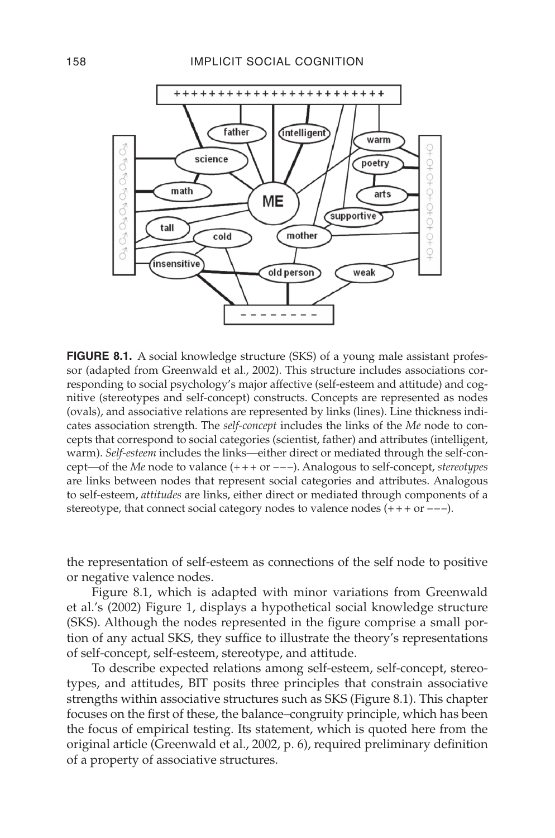

FIGURE 8.1. A social knowledge structure (SKS) of a young male assistant professor (adapted from Greenwald et al., 2002). This structure includes associations corresponding to social psychology's major affective (self-esteem and attitude) and cognitive (stereotypes and self-concept) constructs. Concepts are represented as nodes (ovals), and associative relations are represented by links (lines). Line thickness indicates association strength. The *self-concept* includes the links of the *Me* node to concepts that correspond to social categories (scientist, father) and attributes (intelligent, warm). *Self-esteem* includes the links—either direct or mediated through the self-concept—of the *Me* node to valance (+++ or – ––). Analogous to self-concept, *stereotypes* are links between nodes that represent social categories and attributes. Analogous to self-esteem, *attitudes* are links, either direct or mediated through components of a stereotype, that connect social category nodes to valence nodes  $(+ + + or - -).$ 

the representation of self-esteem as connections of the self node to positive or negative valence nodes.

Figure 8.1, which is adapted with minor variations from Greenwald et al.'s (2002) Figure 1, displays a hypothetical social knowledge structure (SKS). Although the nodes represented in the figure comprise a small portion of any actual SKS, they suffice to illustrate the theory's representations of self-concept, self-esteem, stereotype, and attitude.

To describe expected relations among self-esteem, self-concept, stereotypes, and attitudes, BIT posits three principles that constrain associative strengths within associative structures such as SKS (Figure 8.1). This chapter focuses on the first of these, the balance–congruity principle, which has been the focus of empirical testing. Its statement, which is quoted here from the original article (Greenwald et al., 2002, p. 6), required preliminary definition of a property of associative structures.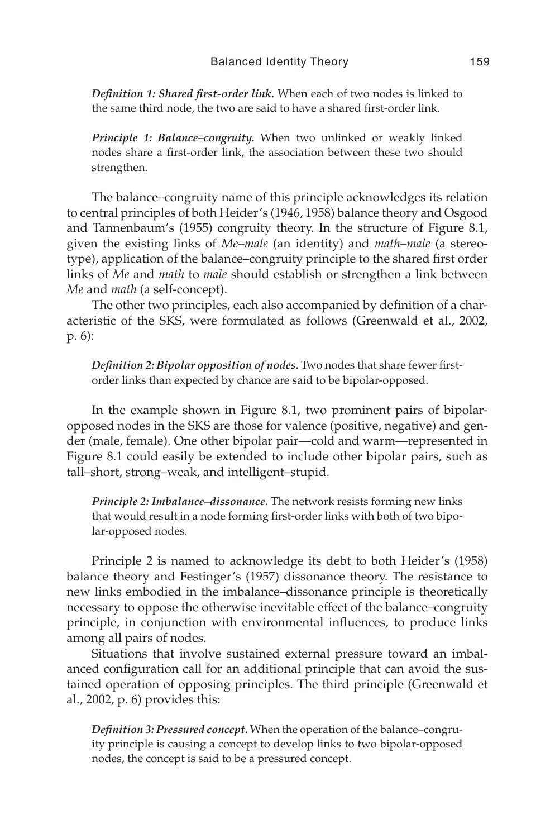*Definition 1: Shared first-order link.* When each of two nodes is linked to the same third node, the two are said to have a shared first-order link.

*Principle 1: Balance–congruity.* When two unlinked or weakly linked nodes share a first-order link, the association between these two should strengthen.

The balance–congruity name of this principle acknowledges its relation to central principles of both Heider's (1946, 1958) balance theory and Osgood and Tannenbaum's (1955) congruity theory. In the structure of Figure 8.1, given the existing links of *Me–male* (an identity) and *math–male* (a stereotype), application of the balance–congruity principle to the shared first order links of *Me* and *math* to *male* should establish or strengthen a link between *Me* and *math* (a self-concept).

The other two principles, each also accompanied by definition of a characteristic of the SKS, were formulated as follows (Greenwald et al., 2002, p. 6):

*Definition 2: Bipolar opposition of nodes.* Two nodes that share fewer firstorder links than expected by chance are said to be bipolar-opposed.

In the example shown in Figure 8.1, two prominent pairs of bipolaropposed nodes in the SKS are those for valence (positive, negative) and gender (male, female). One other bipolar pair—cold and warm—represented in Figure 8.1 could easily be extended to include other bipolar pairs, such as tall–short, strong–weak, and intelligent–stupid.

*Principle 2: Imbalance–dissonance.* The network resists forming new links that would result in a node forming first-order links with both of two bipolar-opposed nodes.

Principle 2 is named to acknowledge its debt to both Heider's (1958) balance theory and Festinger's (1957) dissonance theory. The resistance to new links embodied in the imbalance–dissonance principle is theoretically necessary to oppose the otherwise inevitable effect of the balance–congruity principle, in conjunction with environmental influences, to produce links among all pairs of nodes.

Situations that involve sustained external pressure toward an imbalanced configuration call for an additional principle that can avoid the sustained operation of opposing principles. The third principle (Greenwald et al., 2002, p. 6) provides this:

*Definition 3: Pressured concept.* When the operation of the balance–congruity principle is causing a concept to develop links to two bipolar-opposed nodes, the concept is said to be a pressured concept.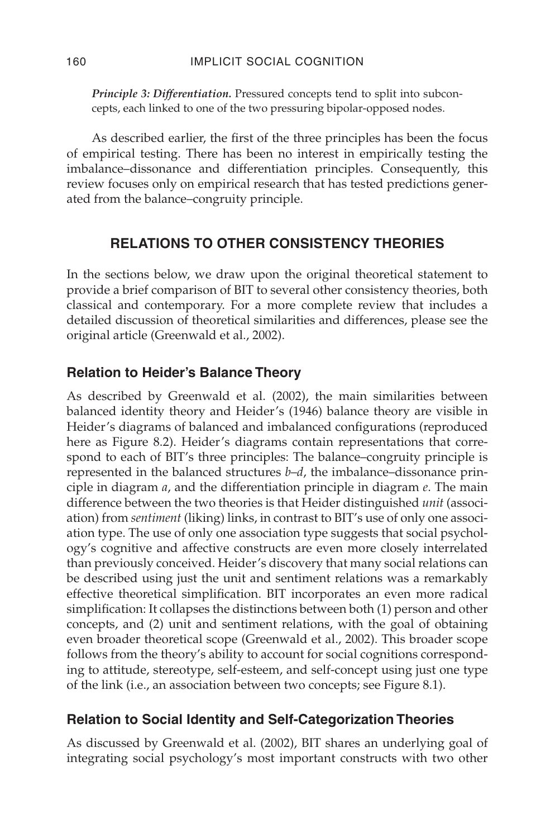*Principle 3: Differentiation.* Pressured concepts tend to split into subconcepts, each linked to one of the two pressuring bipolar-opposed nodes.

As described earlier, the first of the three principles has been the focus of empirical testing. There has been no interest in empirically testing the imbalance–dissonance and differentiation principles. Consequently, this review focuses only on empirical research that has tested predictions generated from the balance–congruity principle.

# **Relations to Other Consistency Theories**

In the sections below, we draw upon the original theoretical statement to provide a brief comparison of BIT to several other consistency theories, both classical and contemporary. For a more complete review that includes a detailed discussion of theoretical similarities and differences, please see the original article (Greenwald et al., 2002).

# **Relation to Heider's Balance Theory**

As described by Greenwald et al. (2002), the main similarities between balanced identity theory and Heider's (1946) balance theory are visible in Heider's diagrams of balanced and imbalanced configurations (reproduced here as Figure 8.2). Heider's diagrams contain representations that correspond to each of BIT's three principles: The balance–congruity principle is represented in the balanced structures *b*–*d*, the imbalance–dissonance principle in diagram *a*, and the differentiation principle in diagram *e*. The main difference between the two theories is that Heider distinguished *unit* (association) from *sentiment* (liking) links, in contrast to BIT's use of only one association type. The use of only one association type suggests that social psychology's cognitive and affective constructs are even more closely interrelated than previously conceived. Heider's discovery that many social relations can be described using just the unit and sentiment relations was a remarkably effective theoretical simplification. BIT incorporates an even more radical simplification: It collapses the distinctions between both (1) person and other concepts, and (2) unit and sentiment relations, with the goal of obtaining even broader theoretical scope (Greenwald et al., 2002). This broader scope follows from the theory's ability to account for social cognitions corresponding to attitude, stereotype, self-esteem, and self-concept using just one type of the link (i.e., an association between two concepts; see Figure 8.1).

# **Relation to Social Identity and Self-Categorization Theories**

As discussed by Greenwald et al. (2002), BIT shares an underlying goal of integrating social psychology's most important constructs with two other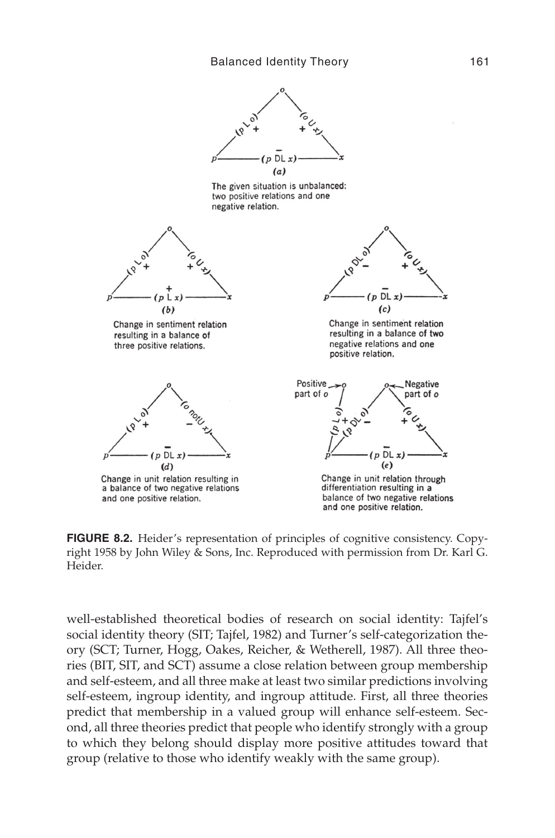

FIGURE 8.2. Heider's representation of principles of cognitive consistency. Copyright 1958 by John Wiley & Sons, Inc. Reproduced with permission from Dr. Karl G. Heider.

well-established theoretical bodies of research on social identity: Tajfel's social identity theory (SIT; Tajfel, 1982) and Turner's self-categorization theory (SCT; Turner, Hogg, Oakes, Reicher, & Wetherell, 1987). All three theories (BIT, SIT, and SCT) assume a close relation between group membership and self-esteem, and all three make at least two similar predictions involving self-esteem, ingroup identity, and ingroup attitude. First, all three theories predict that membership in a valued group will enhance self-esteem. Second, all three theories predict that people who identify strongly with a group to which they belong should display more positive attitudes toward that group (relative to those who identify weakly with the same group).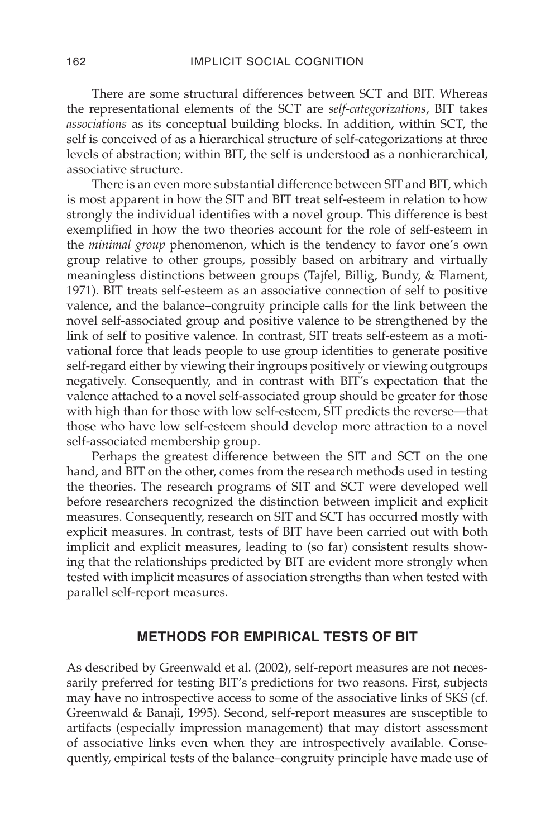There are some structural differences between SCT and BIT. Whereas the representational elements of the SCT are *self-categorizations*, BIT takes *associations* as its conceptual building blocks. In addition, within SCT, the self is conceived of as a hierarchical structure of self-categorizations at three levels of abstraction; within BIT, the self is understood as a nonhierarchical, associative structure.

There is an even more substantial difference between SIT and BIT, which is most apparent in how the SIT and BIT treat self-esteem in relation to how strongly the individual identifies with a novel group. This difference is best exemplified in how the two theories account for the role of self-esteem in the *minimal group* phenomenon, which is the tendency to favor one's own group relative to other groups, possibly based on arbitrary and virtually meaningless distinctions between groups (Tajfel, Billig, Bundy, & Flament, 1971). BIT treats self-esteem as an associative connection of self to positive valence, and the balance–congruity principle calls for the link between the novel self-associated group and positive valence to be strengthened by the link of self to positive valence. In contrast, SIT treats self-esteem as a motivational force that leads people to use group identities to generate positive self-regard either by viewing their ingroups positively or viewing outgroups negatively. Consequently, and in contrast with BIT's expectation that the valence attached to a novel self-associated group should be greater for those with high than for those with low self-esteem, SIT predicts the reverse—that those who have low self-esteem should develop more attraction to a novel self-associated membership group.

Perhaps the greatest difference between the SIT and SCT on the one hand, and BIT on the other, comes from the research methods used in testing the theories. The research programs of SIT and SCT were developed well before researchers recognized the distinction between implicit and explicit measures. Consequently, research on SIT and SCT has occurred mostly with explicit measures. In contrast, tests of BIT have been carried out with both implicit and explicit measures, leading to (so far) consistent results showing that the relationships predicted by BIT are evident more strongly when tested with implicit measures of association strengths than when tested with parallel self-report measures.

#### **Methods for Empirical Tests of BIT**

As described by Greenwald et al. (2002), self-report measures are not necessarily preferred for testing BIT's predictions for two reasons. First, subjects may have no introspective access to some of the associative links of SKS (cf. Greenwald & Banaji, 1995). Second, self-report measures are susceptible to artifacts (especially impression management) that may distort assessment of associative links even when they are introspectively available. Consequently, empirical tests of the balance–congruity principle have made use of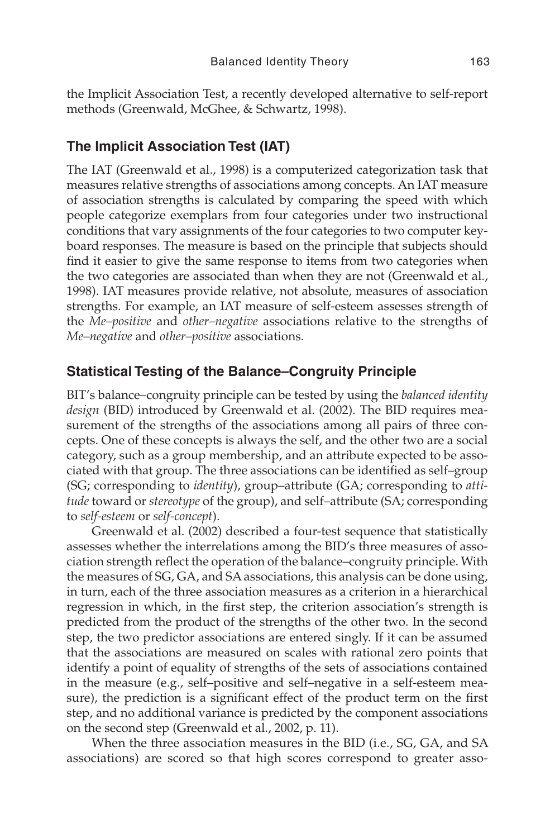the Implicit Association Test, a recently developed alternative to self-report methods (Greenwald, McGhee, & Schwartz, 1998).

# **The Implicit Association Test (IAT)**

The IAT (Greenwald et al., 1998) is a computerized categorization task that measures relative strengths of associations among concepts. An IAT measure of association strengths is calculated by comparing the speed with which people categorize exemplars from four categories under two instructional conditions that vary assignments of the four categories to two computer keyboard responses. The measure is based on the principle that subjects should find it easier to give the same response to items from two categories when the two categories are associated than when they are not (Greenwald et al., 1998). IAT measures provide relative, not absolute, measures of association strengths. For example, an IAT measure of self-esteem assesses strength of the *Me–positive* and *other–negative* associations relative to the strengths of *Me–negative* and *other–positive* associations.

# **Statistical Testing of the Balance–Congruity Principle**

BIT's balance–congruity principle can be tested by using the *balanced identity design* (BID) introduced by Greenwald et al. (2002). The BID requires measurement of the strengths of the associations among all pairs of three concepts. One of these concepts is always the self, and the other two are a social category, such as a group membership, and an attribute expected to be associated with that group. The three associations can be identified as self–group (SG; corresponding to *identity*), group–attribute (GA; corresponding to *attitude* toward or *stereotype* of the group), and self–attribute (SA; corresponding to *self-esteem* or *self-concept*).

Greenwald et al. (2002) described a four-test sequence that statistically assesses whether the interrelations among the BID's three measures of association strength reflect the operation of the balance–congruity principle. With the measures of SG, GA, and SA associations, this analysis can be done using, in turn, each of the three association measures as a criterion in a hierarchical regression in which, in the first step, the criterion association's strength is predicted from the product of the strengths of the other two. In the second step, the two predictor associations are entered singly. If it can be assumed that the associations are measured on scales with rational zero points that identify a point of equality of strengths of the sets of associations contained in the measure (e.g., self–positive and self–negative in a self-esteem measure), the prediction is a significant effect of the product term on the first step, and no additional variance is predicted by the component associations on the second step (Greenwald et al., 2002, p. 11).

When the three association measures in the BID (i.e., SG, GA, and SA associations) are scored so that high scores correspond to greater asso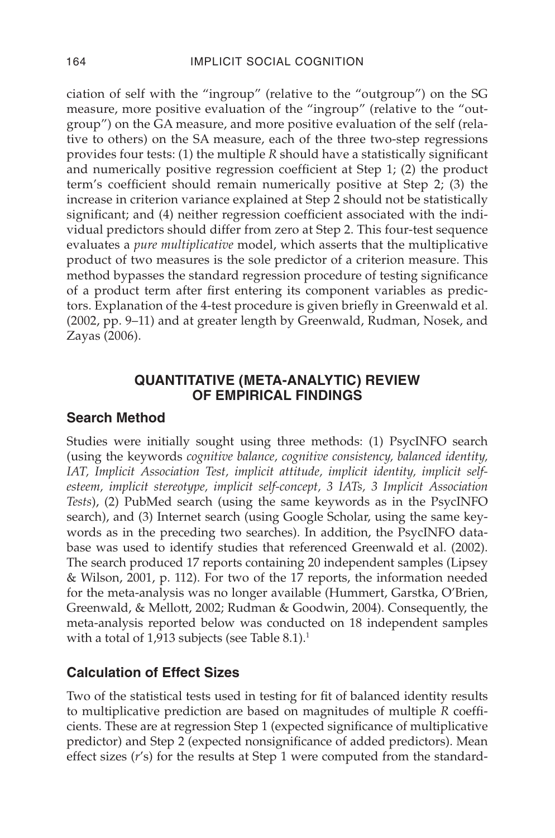ciation of self with the "ingroup" (relative to the "outgroup") on the SG measure, more positive evaluation of the "ingroup" (relative to the "outgroup") on the GA measure, and more positive evaluation of the self (relative to others) on the SA measure, each of the three two-step regressions provides four tests: (1) the multiple *R* should have a statistically significant and numerically positive regression coefficient at Step 1; (2) the product term's coefficient should remain numerically positive at Step 2; (3) the increase in criterion variance explained at Step 2 should not be statistically significant; and (4) neither regression coefficient associated with the individual predictors should differ from zero at Step 2. This four-test sequence evaluates a *pure multiplicative* model, which asserts that the multiplicative product of two measures is the sole predictor of a criterion measure. This method bypasses the standard regression procedure of testing significance of a product term after first entering its component variables as predictors. Explanation of the 4-test procedure is given briefly in Greenwald et al. (2002, pp. 9–11) and at greater length by Greenwald, Rudman, Nosek, and Zayas (2006).

# **Quantitative (Meta-Analytic) Review of Empirical Findings**

# **Search Method**

Studies were initially sought using three methods: (1) PsycINFO search (using the keywords *cognitive balance, cognitive consistency, balanced identity, IAT, Implicit Association Test, implicit attitude, implicit identity, implicit selfesteem, implicit stereotype, implicit self-concept, 3 IATs, 3 Implicit Association Tests*), (2) PubMed search (using the same keywords as in the PsycINFO search), and (3) Internet search (using Google Scholar, using the same keywords as in the preceding two searches). In addition, the PsycINFO database was used to identify studies that referenced Greenwald et al. (2002). The search produced 17 reports containing 20 independent samples (Lipsey & Wilson, 2001, p. 112). For two of the 17 reports, the information needed for the meta-analysis was no longer available (Hummert, Garstka, O'Brien, Greenwald, & Mellott, 2002; Rudman & Goodwin, 2004). Consequently, the meta-analysis reported below was conducted on 18 independent samples with a total of 1,913 subjects (see Table  $8.1$ ).<sup>1</sup>

# **Calculation of Effect Sizes**

Two of the statistical tests used in testing for fit of balanced identity results to multiplicative prediction are based on magnitudes of multiple *R* coefficients. These are at regression Step 1 (expected significance of multiplicative predictor) and Step 2 (expected nonsignificance of added predictors). Mean effect sizes (*r's*) for the results at Step 1 were computed from the standard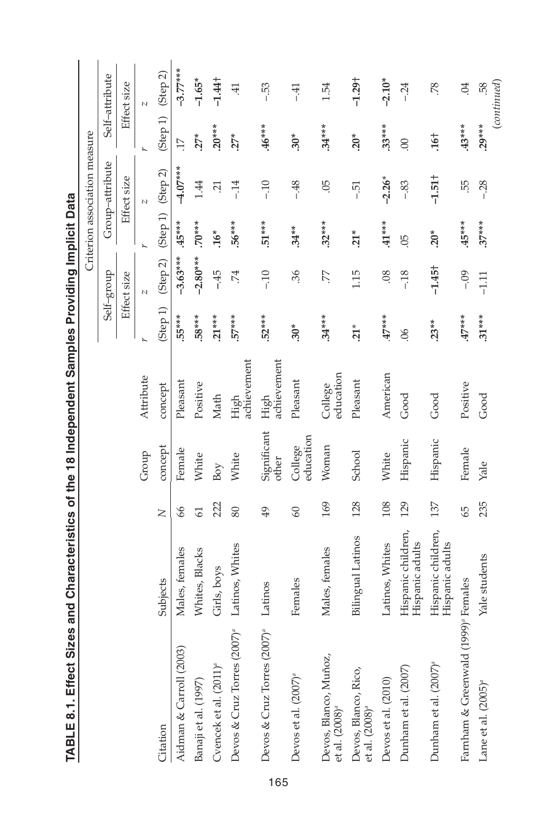TABLE 8.1. Effect Sizes and Characteristics of the 18 Independent Samples Providing Implicit Data **TABLE 8.1. Effect Sizes and Characteristics of the 18 Independent Samples Providing Implicit Data**

Criterion association measure

Criterion association measure

|                                                     |                                       |                 |                      |                      |          | Self-group  |          | Group-attribute |          | Self-attribute       |
|-----------------------------------------------------|---------------------------------------|-----------------|----------------------|----------------------|----------|-------------|----------|-----------------|----------|----------------------|
|                                                     |                                       |                 |                      |                      |          | Effect size |          | Effect size     |          | Effect size          |
|                                                     |                                       |                 | Group                | Attribute            |          | N           |          | N               | H        | N                    |
| Citation                                            | Subjects                              | $\geq$          | concept              | concept              | (Step 1) | (Step 2)    | (Step 1) | (Step 2)        | (Step 1) | (Step 2)             |
| Aidman & Carroll (2003)                             | Males, females                        | 66              | Female               | Pleasant             | $.55***$ | $-3.63***$  | $.45***$ | $-4.07***$      | H.       | $-3.77***$           |
| Banaji et al. (1997)                                | Whites, Blacks                        | $\overline{61}$ | White                | Positive             | $.58***$ | $-2.80***$  | $-70**$  | 1.44            | $27*$    | $-1.65*$             |
| Cvencek et al. $(2011)^n$                           | Girls, boys                           | 222             | Boy                  | Math                 | $.21***$ | $-45$       | $16*$    | $\overline{c}$  | $.20***$ | $-1.44$              |
| Devos & Cruz Torres (2007) <sup>a</sup>             | Latinos, Whites                       | 80              | White                | achievement<br>High  | $.57***$ | 74          | $.56***$ | $-14$           | $27*$    | 41                   |
| Devos & Cruz Torres (2007) <sup>"</sup>             | Latinos                               | 49              | Significant<br>other | achievement<br>High  | $.52***$ | $-10$       | $51***$  | $-10$           | $46***$  | $-53$                |
| Devos et al. $(2007)^a$                             | Females                               | 60              | education<br>College | Pleasant             | $30*$    | 36          | $.34***$ | $-48$           | $30*$    | —<br>न               |
| Devos, Blanco, Muñoz,<br>et al. (2008) <sup>"</sup> | Males, females                        | 169             | Woman                | education<br>College | $34***$  | Z.          | $.32***$ | 05              | $.34***$ | 1.54                 |
| Devos, Blanco, Rico,<br>et al. (2008)ª              | <b>Bilingual Latinos</b>              | 128             | School               | Pleasant             | $21*$    | 1.15        | $21*$    | $-5$            | $20*$    | $-1.29$ <sup>+</sup> |
| Devos et al. (2010)                                 | Latinos, Whites                       | 108             | White                | American             | $.47***$ | .08         | $.41***$ | $-2.26*$        | $.33***$ | $-2.10*$             |
| Dunham et al. (2007)                                | Hispanic children,<br>Hispanic adults | 129             | Hispanic             | Good                 | 06       | $-18$       | 05       | $-83$           | $\odot$  | $-24$                |
| Dunham et al. (2007) <sup>a</sup>                   | Hispanic children,<br>Hispanic adults | 137             | Hispanic             | Good                 | $.23**$  | $-1.45+$    | $20*$    | $-1.51 +$       | $16+$    | 78.                  |
| Farnham & Greenwald (1999)                          | ) <sup>a</sup> Females                | 65              | Female               | Positive             | $.47***$ | $-0.09$     | $45***$  | 55              | $43***$  | PÓ.                  |
| Lane et al. (2005) <sup>a</sup>                     | Yale students                         | 235             | Yale                 | Good                 | $.31***$ | $-1.11$     | $.37***$ | $-28$           | $.29***$ | (continued)<br>58.   |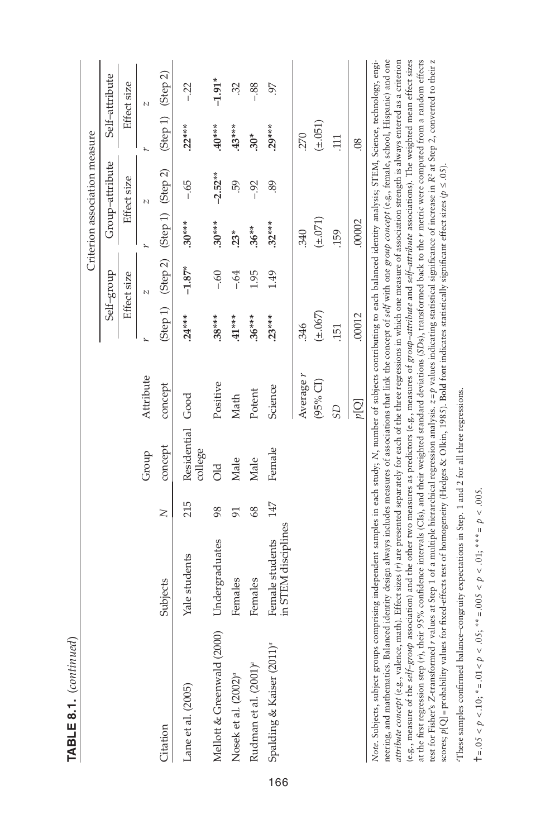TABLE 8.1. (continued) **TABLE 8.1.** (*continued*)

|                                       |                                        |                 |                        |            |              |             |                                             | Criterion association measure |                |                   |
|---------------------------------------|----------------------------------------|-----------------|------------------------|------------|--------------|-------------|---------------------------------------------|-------------------------------|----------------|-------------------|
|                                       |                                        |                 |                        |            |              | Self-group  |                                             | Group-attribute               |                | Self-attribute    |
|                                       |                                        |                 |                        |            |              | Effect size |                                             | Effect size                   |                | Effect size       |
|                                       |                                        |                 | Group                  | Attribute  |              | N           |                                             | N                             |                | N                 |
| Citation                              | Subjects                               | $\geq$          | concept                | concept    |              |             | $(Step 1)$ $(Step 2)$ $(Step 1)$ $(Step 2)$ |                               |                | (Step 1) (Step 2) |
| Lane et al. (2005)                    | Yale students                          | 215             | Residential<br>college | Good       | $.24***$     | $-1.87*$    | $.30***$                                    | $-65$                         | $.22***$       | $-22$             |
| Mellott & Greenwald (2000)            | Undergraduates                         | 98              | Dio                    | Positive   | $.38***$     | $-60$       | $.30***$                                    | $-2.52**$                     | $* * * 0.7$    | $-1.91*$          |
| Nosek et al. (2002) <sup>a</sup>      | Females                                | $\overline{91}$ | Male                   | Math       | $.41***$     | $-64$       | $23*$                                       | 59.                           | $.43***$       | 32                |
| Rudman et al. (2001) <sup>a</sup>     | Females                                | 68              | Male                   | Potent     | $.36***$     | 1.95        | $.36**$                                     | $-92$                         | $30*$          | $-88$             |
| Spalding & Kaiser (2011) <sup>"</sup> | in STEM disciplines<br>Female students | 147             | Female                 | Science    | $.23***$     | 1.49        | $.32***$                                    | 89                            | $.29***$       | 97                |
|                                       |                                        |                 |                        | Average r  | 346          |             | .340                                        |                               | .270           |                   |
|                                       |                                        |                 |                        | $(95%$ CI) | $(\pm .067)$ |             | $(\pm .071)$                                |                               | $(\pm .051)$   |                   |
|                                       |                                        |                 |                        |            | 151          |             | 159                                         |                               | $\Xi$          |                   |
|                                       |                                        |                 |                        | pla        | .00012       |             | .00002                                      |                               | $\overline{0}$ |                   |
|                                       |                                        |                 |                        |            |              |             |                                             |                               |                |                   |

neering, and mathematics. Balanced identity design always includes measures of associations that link the concept of self with one group concept (e.g., female, school, Hispanic) and one neering, and mathematics. Balanced identity design always includes measures of associations that link the concept of *self* with one *group concept* (e.g., female, school, Hispanic) and one attribute concept (e.g., valence, math). Effect sizes (r) are presented separately for each of the three regressions in which one measure of association strength is always entered as a criterion *attribute concept* (e.g., valence, math). Effect sizes (*r*) are presented separately for each of the three regressions in which one measure of association strength is always entered as a criterion (e.g., measure of the *self–group* association) and the other two measures as predictors (e.g., measures of *group–attribute* and *self–attribute* associations). The weighted mean effect sizes at the first regression step (*r*), their 95% confidence intervals (CIs), and their weighted standard deviations (*SD*s), transformed back to the *r* metric were computed from a random effects test for Fisher's Z-transformed r values at Step 1 of a multiple hierarchical regression analysis. z=p values indicating statistical significance of increase in R<sup>2</sup> at Step 2, converted to their z test for Fisher's Z-transformed 1 values at Step 1 of a multiple hierarchical regression analysis. z=p values indicating statistical significance of increase in R<sup>2</sup> at Step 2, converted to their z Note. Subjects, subject groups comprising independent samples in each study; N, number of subjects contributing to each balanced identity analysis; STEM, Science, rechnology, engi-(e.g., measure of the *self-group* association) and the other two measures as predictors (e.g., measures of *group-attribute* and *self-attribute* associations). The weighted mean effect sizes at the first regression step (r), their 95% confidence intervals (Cls), and their weighted standard deviations (SDs), transformed back to the 1 metric were computed from a random effects *Note*. Subjects, subject groups comprising independent samples in each study; *N*, number of subjects contributing to each balanced identity analysis; STEM, Science, technology, engiscores; p[Q] = probability values for fixed-effects test of homogeneity (Hedges & Olkin, 1985). Bold font indicates statistically significant effect sizes (p ≤ .05). scores; *p*[Q]=probability values for fixed-effects test of homogeneity (Hedges & Olkin, 1985). **Bold** font indicates statistically significant effect sizes (*p* ≤ .05).

These samples confirmed balance-congruity expectations in Step. 1 and 2 for all three regressions. *a*These samples confirmed balance–congruity expectations in Step. 1 and 2 for all three regressions.

 $\dagger$  = .05 < p <.10; \* = .01 < p < .05; \* \* = .005 < p < .01; \* \* \* = p < .005.  $\dagger$ =.05 < *p* < .10;  $*$  = .01 < *p* < .05;  $*$  \* = .005 < *p* < .01;  $*$  \* \* = *p* < .005.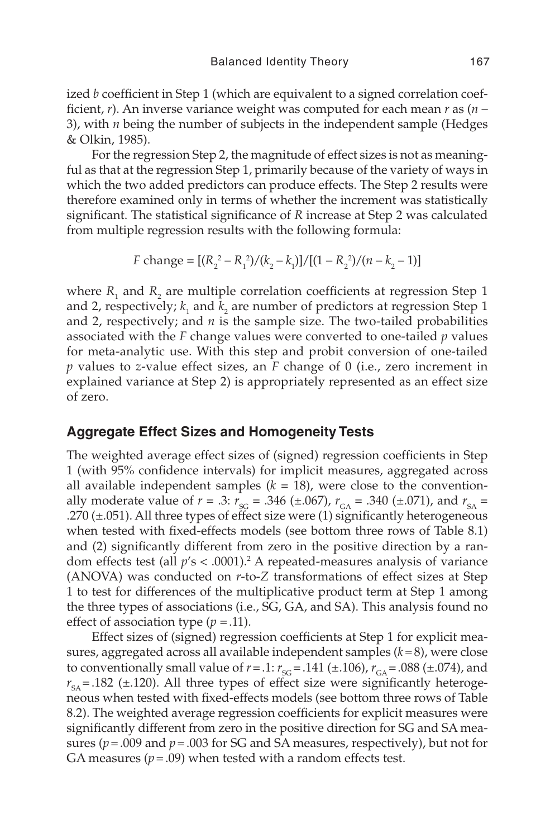ized *b* coefficient in Step 1 (which are equivalent to a signed correlation coefficient, *r*). An inverse variance weight was computed for each mean *r* as (*n* – 3), with *n* being the number of subjects in the independent sample (Hedges & Olkin, 1985).

For the regression Step 2, the magnitude of effect sizes is not as meaningful as that at the regression Step 1, primarily because of the variety of ways in which the two added predictors can produce effects. The Step 2 results were therefore examined only in terms of whether the increment was statistically significant. The statistical significance of *R* increase at Step 2 was calculated from multiple regression results with the following formula:

$$
F \text{ change} = \frac{(R_2^2 - R_1^2)}{(k_2 - k_1)} / \frac{(1 - R_2^2)}{(n - k_2 - 1)}
$$

where  $R_1$  and  $R_2$  are multiple correlation coefficients at regression Step 1 and 2, respectively;  $k_1$  and  $k_2$  are number of predictors at regression Step 1 and 2, respectively; and *n* is the sample size. The two-tailed probabilities associated with the *F* change values were converted to one-tailed *p* values for meta-analytic use. With this step and probit conversion of one-tailed *p* values to *z*-value effect sizes, an *F* change of 0 (i.e., zero increment in explained variance at Step 2) is appropriately represented as an effect size of zero.

#### **Aggregate Effect Sizes and Homogeneity Tests**

The weighted average effect sizes of (signed) regression coefficients in Step 1 (with 95% confidence intervals) for implicit measures, aggregated across all available independent samples  $(k = 18)$ , were close to the conventionally moderate value of  $r = .3$ :  $r_{SG} = .346$  (±.067),  $r_{GA} = .340$  (±.071), and  $r_{SA} =$ .270 ( $\pm$ .051). All three types of effect size were (1) significantly heterogeneous when tested with fixed-effects models (see bottom three rows of Table 8.1) and (2) significantly different from zero in the positive direction by a random effects test (all *p*'s < .0001).2 A repeated-measures analysis of variance (ANOVA) was conducted on *r*-to-*Z* transformations of effect sizes at Step 1 to test for differences of the multiplicative product term at Step 1 among the three types of associations (i.e., SG, GA, and SA). This analysis found no effect of association type  $(p=.11)$ .

Effect sizes of (signed) regression coefficients at Step 1 for explicit measures, aggregated across all available independent samples (*k*=8), were close to conventionally small value of *r* = .1:  $r_{\rm sc}$  = .141 (±.106),  $r_{\rm Ca}$  = .088 (±.074), and  $r_{\rm SA}$  = .182 ( $\pm$ .120). All three types of effect size were significantly heterogeneous when tested with fixed-effects models (see bottom three rows of Table 8.2). The weighted average regression coefficients for explicit measures were significantly different from zero in the positive direction for SG and SA measures (*p*=.009 and *p*=.003 for SG and SA measures, respectively), but not for GA measures  $(p=.09)$  when tested with a random effects test.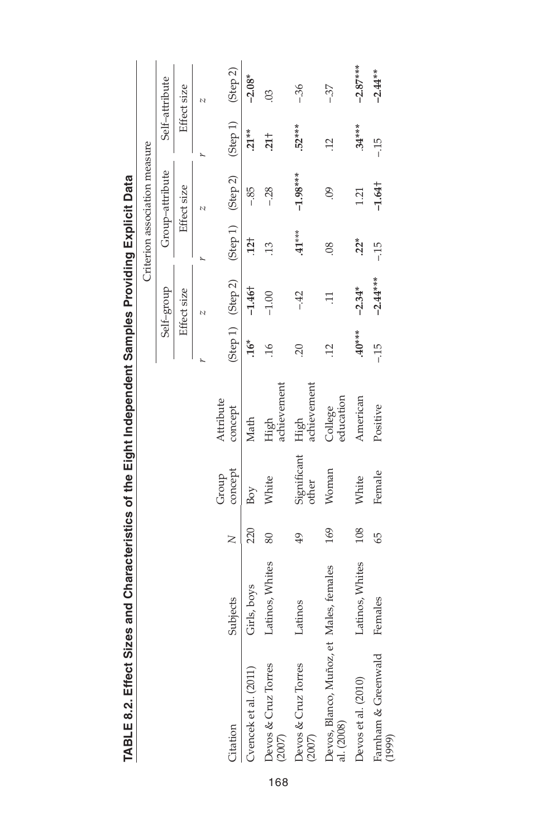|                                                       |                 |        |                      |                      |                 |                   |                   | Criterion association measure |                 |                |
|-------------------------------------------------------|-----------------|--------|----------------------|----------------------|-----------------|-------------------|-------------------|-------------------------------|-----------------|----------------|
|                                                       |                 |        |                      |                      |                 | Self-group        |                   | Group-attribute               |                 | Self-attribute |
|                                                       |                 |        |                      |                      |                 | Effect size       |                   | Effect size                   |                 | Effect size    |
|                                                       |                 |        |                      |                      |                 | N                 |                   | N                             |                 | N              |
| Citation                                              | Subjects        | $\geq$ | concept<br>Group     | Attribute<br>concept |                 | (Step 1) (Step 2) | (Step 1) (Step 2) |                               | (Step 1)        | (Step 2)       |
| Cvencek et al. (2011)                                 | Girls, boys     | 220    | Boy                  | Math                 | $16*$           | $-1.46+$          | $12+$             | $-85$                         | $.21**$         | $-2.08*$       |
| Devos & Cruz Torres<br>(2007)                         | Latinos, Whites | 80     | White                | achievement<br>High  | $\ddot{5}$      | $-1.00$           | $\ddot{13}$       | $-28$                         | $21+$           | $\overline{0}$ |
| Devos & Cruz Torres<br>(2007)                         | Latinos         | 49     | Significant<br>other | achievement<br>High  | $\overline{c}$  | $-42$             | $.41***$          | $-1.98***$                    | $52***$         | -36            |
| Devos, Blanco, Muñoz, et Males, females<br>al. (2008) |                 | 169    | Woman                | education<br>College | $\overline{12}$ |                   | 08                | $\odot$                       | $\overline{12}$ | -37            |
| Devos et al. (2010)                                   | Latinos, Whites | 108    | White                | American             | $*^{**}0$ .     | $-2.34*$          | $22*$             | 1.21                          | $.34***$        | $-2.87***$     |
| Famham & Greenwald<br>(1999)                          | Females         | 65     | Female               | Positive             | $-15$           | $-2.44***$        | $-15$             | $-1.64 +$                     | $-15$           | $-2.44**$      |

TABLE 8.2. Effect Sizes and Characteristics of the Eight Independent Samples Providing Explicit Data **TABLE 8.2. Effect Sizes and Characteristics of the Eight Independent Samples Providing Explicit Data**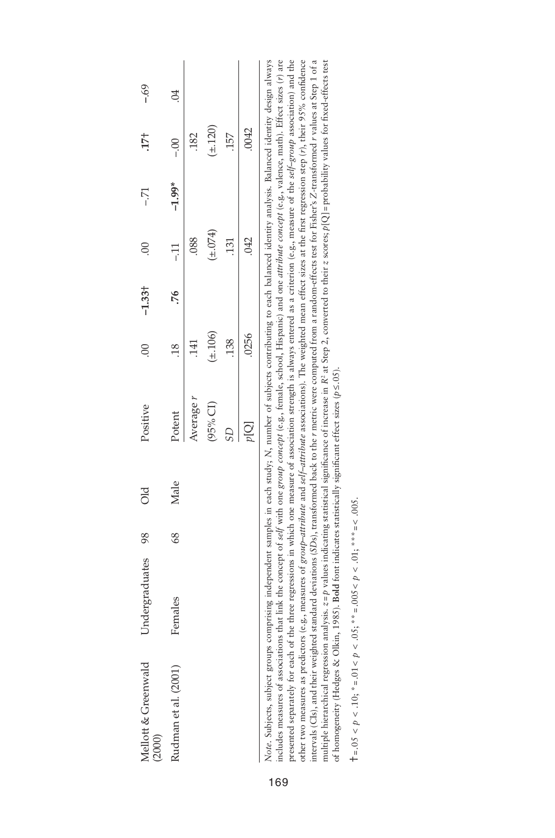| Mellott & Greenwald<br>(2000) | Undergraduates | 98 | <b>DIC</b> | Positive                                                                                                                                  | $\odot$        | $-1.33 +$ | S             | $-71$    | $.17+$       | $-0.69$    |
|-------------------------------|----------------|----|------------|-------------------------------------------------------------------------------------------------------------------------------------------|----------------|-----------|---------------|----------|--------------|------------|
| Rudman et al. (2001)          | Females        | 68 | Male       | Potent                                                                                                                                    | $\frac{8}{10}$ | .76       | $-11$         | $-1.99*$ | $-00 -$      | $\ddot{0}$ |
|                               |                |    |            | Average r                                                                                                                                 |                |           | 088           |          | .182         |            |
|                               |                |    |            | $(95%$ CI)                                                                                                                                | $(\pm .106)$   |           | $(\pm .074)$  |          | $(\pm .120)$ |            |
|                               |                |    |            | S <sub>D</sub>                                                                                                                            | 138            |           | $\frac{3}{2}$ |          | 157          |            |
|                               |                |    |            | ĪОl                                                                                                                                       | 0256           |           | 042           |          | .0042        |            |
| $\mathbf{X}$                  |                |    |            | مستحلك مسائل والمستحل والمساحي والمساحي والمستحل والمناطور ومستحل والمستحد والمستحل والمستحل والمستحل والمستحل والمستحل والمستحل والمستحل |                |           |               |          |              |            |

| acludes measures of associations that link the concept of self with one group concept (e.g., female, school, Hispanic) and one attribute concept (e.g., valence, math). Effect sizes (r) are<br>Note. Subjects, subject groups comprising independent samples in each study; N, number of subjects contributing to each balanced identity analysis. Balanced identity design always | resented separately for each of the three regressions in which one measure of association strength is always entered as a criterion (e.g., measure of the self-group association) and the | other two measures as predictors (e.g., measures of <i>group-attribute</i> and self-attribute associations). The weighted mean effect sizes at the first regression step (r), their 95% confidence | nervals (CIs), and their weighted standard deviations (SDs), transformed back to the r metric were computed from a random-effects test for Fisher's Z-transformed r values at Step 1 of a | nultiple hierarchical regression analysis. z=p values indicating statistical significance of increase in R <sup>2</sup> at Step 2, converted to their z scores; p[Q]=probability values for fixed-effects test | f homogeneity (Hedges & Olkin, 1985). Bold font indicates statistically significant effect sizes ( $p \le 0.05$ ). |
|-------------------------------------------------------------------------------------------------------------------------------------------------------------------------------------------------------------------------------------------------------------------------------------------------------------------------------------------------------------------------------------|-------------------------------------------------------------------------------------------------------------------------------------------------------------------------------------------|----------------------------------------------------------------------------------------------------------------------------------------------------------------------------------------------------|-------------------------------------------------------------------------------------------------------------------------------------------------------------------------------------------|----------------------------------------------------------------------------------------------------------------------------------------------------------------------------------------------------------------|--------------------------------------------------------------------------------------------------------------------|
|                                                                                                                                                                                                                                                                                                                                                                                     |                                                                                                                                                                                           |                                                                                                                                                                                                    |                                                                                                                                                                                           |                                                                                                                                                                                                                |                                                                                                                    |

 $\dagger = .05 < p < .10;$   $* = .01 < p < .05;$   $* = .005 < p < .01;$   $* * * = < .005.$ **†**=.05 < *p* < .10; \* = .01 < *p* < .05; \* \* = ⊥005 < *p* < .01; \* \* \* = < .005.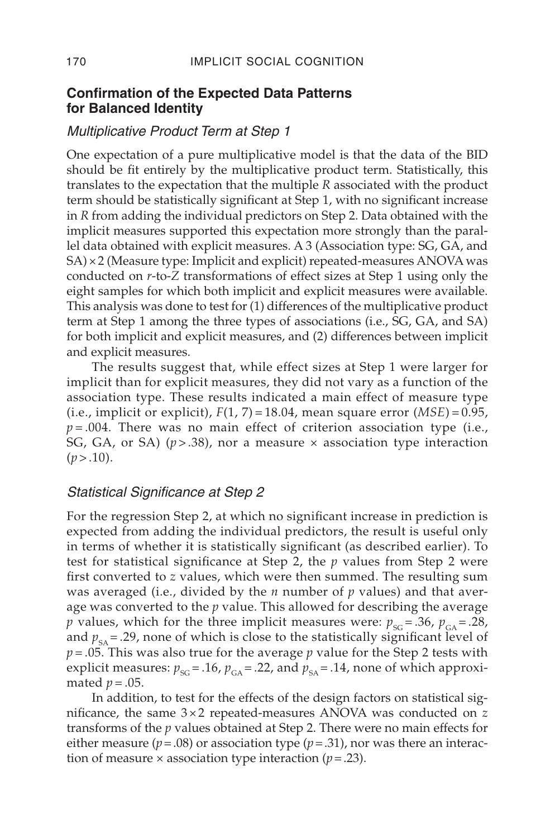# **Confirmation of the Expected Data Patterns for Balanced Identity**

#### *Multiplicative Product Term at Step 1*

One expectation of a pure multiplicative model is that the data of the BID should be fit entirely by the multiplicative product term. Statistically, this translates to the expectation that the multiple *R* associated with the product term should be statistically significant at Step 1, with no significant increase in *R* from adding the individual predictors on Step 2. Data obtained with the implicit measures supported this expectation more strongly than the parallel data obtained with explicit measures. A 3 (Association type: SG, GA, and SA)×2 (Measure type: Implicit and explicit) repeated-measures ANOVA was conducted on *r*-to-*Z* transformations of effect sizes at Step 1 using only the eight samples for which both implicit and explicit measures were available. This analysis was done to test for (1) differences of the multiplicative product term at Step 1 among the three types of associations (i.e., SG, GA, and SA) for both implicit and explicit measures, and (2) differences between implicit and explicit measures.

The results suggest that, while effect sizes at Step 1 were larger for implicit than for explicit measures, they did not vary as a function of the association type. These results indicated a main effect of measure type (i.e., implicit or explicit), *F*(1, 7) = 18.04, mean square error (*MSE*) = 0.95,  $p = 0.004$ . There was no main effect of criterion association type (i.e., SG, GA, or SA)  $(p > .38)$ , nor a measure  $\times$  association type interaction  $(p > .10)$ .

#### *Statistical Significance at Step 2*

For the regression Step 2, at which no significant increase in prediction is expected from adding the individual predictors, the result is useful only in terms of whether it is statistically significant (as described earlier). To test for statistical significance at Step 2, the *p* values from Step 2 were first converted to *z* values, which were then summed. The resulting sum was averaged (i.e., divided by the *n* number of *p* values) and that average was converted to the *p* value. This allowed for describing the average *p* values, which for the three implicit measures were:  $p_{SG} = .36$ ,  $p_{GA} = .28$ , and  $p_{SA} = .29$ , none of which is close to the statistically significant level of *p* = .05. This was also true for the average *p* value for the Step 2 tests with explicit measures:  $p_{SG} = .16$ ,  $p_{GA} = .22$ , and  $p_{SA} = .14$ , none of which approximated *p* = .05.

In addition, to test for the effects of the design factors on statistical significance, the same 3×2 repeated-measures ANOVA was conducted on *z* transforms of the *p* values obtained at Step 2. There were no main effects for either measure ( $p = .08$ ) or association type ( $p = .31$ ), nor was there an interaction of measure  $\times$  association type interaction ( $p = .23$ ).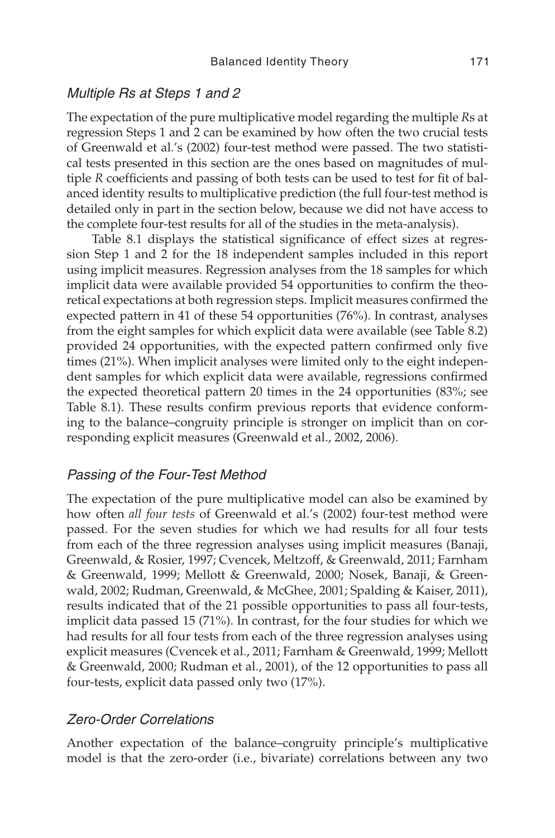# *Multiple Rs at Steps 1 and 2*

The expectation of the pure multiplicative model regarding the multiple *R*s at regression Steps 1 and 2 can be examined by how often the two crucial tests of Greenwald et al.'s (2002) four-test method were passed. The two statistical tests presented in this section are the ones based on magnitudes of multiple *R* coefficients and passing of both tests can be used to test for fit of balanced identity results to multiplicative prediction (the full four-test method is detailed only in part in the section below, because we did not have access to the complete four-test results for all of the studies in the meta-analysis).

Table 8.1 displays the statistical significance of effect sizes at regression Step 1 and 2 for the 18 independent samples included in this report using implicit measures. Regression analyses from the 18 samples for which implicit data were available provided 54 opportunities to confirm the theoretical expectations at both regression steps. Implicit measures confirmed the expected pattern in 41 of these 54 opportunities (76%). In contrast, analyses from the eight samples for which explicit data were available (see Table 8.2) provided 24 opportunities, with the expected pattern confirmed only five times (21%). When implicit analyses were limited only to the eight independent samples for which explicit data were available, regressions confirmed the expected theoretical pattern 20 times in the 24 opportunities (83%; see Table 8.1). These results confirm previous reports that evidence conforming to the balance–congruity principle is stronger on implicit than on corresponding explicit measures (Greenwald et al., 2002, 2006).

### *Passing of the Four-Test Method*

The expectation of the pure multiplicative model can also be examined by how often *all four tests* of Greenwald et al.'s (2002) four-test method were passed. For the seven studies for which we had results for all four tests from each of the three regression analyses using implicit measures (Banaji, Greenwald, & Rosier, 1997; Cvencek, Meltzoff, & Greenwald, 2011; Farnham & Greenwald, 1999; Mellott & Greenwald, 2000; Nosek, Banaji, & Greenwald, 2002; Rudman, Greenwald, & McGhee, 2001; Spalding & Kaiser, 2011), results indicated that of the 21 possible opportunities to pass all four-tests, implicit data passed 15 (71%). In contrast, for the four studies for which we had results for all four tests from each of the three regression analyses using explicit measures (Cvencek et al., 2011; Farnham & Greenwald, 1999; Mellott & Greenwald, 2000; Rudman et al., 2001), of the 12 opportunities to pass all four-tests, explicit data passed only two (17%).

### *Zero-Order Correlations*

Another expectation of the balance–congruity principle's multiplicative model is that the zero-order (i.e., bivariate) correlations between any two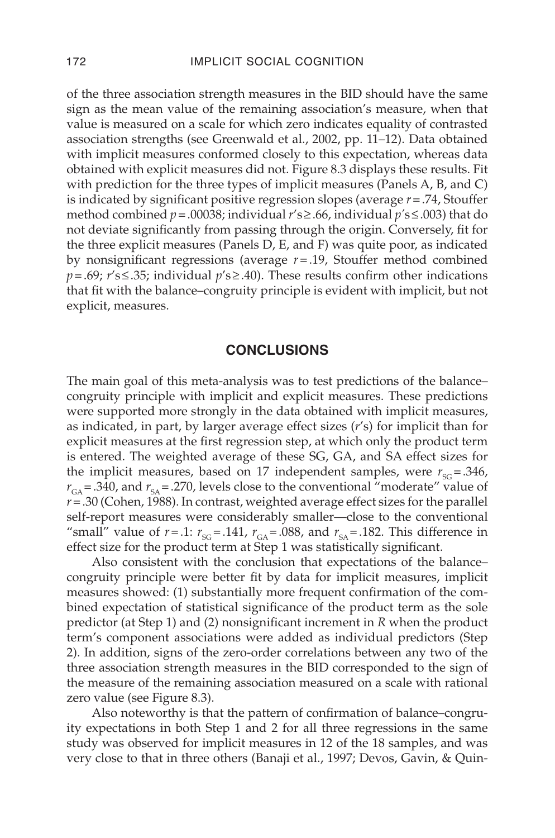of the three association strength measures in the BID should have the same sign as the mean value of the remaining association's measure, when that value is measured on a scale for which zero indicates equality of contrasted association strengths (see Greenwald et al., 2002, pp. 11–12). Data obtained with implicit measures conformed closely to this expectation, whereas data obtained with explicit measures did not. Figure 8.3 displays these results. Fit with prediction for the three types of implicit measures (Panels A, B, and C) is indicated by significant positive regression slopes (average *r*=.74, Stouffer method combined *p*=.00038; individual *r*'s≥.66, individual *p'*s≤.003) that do not deviate significantly from passing through the origin. Conversely, fit for the three explicit measures (Panels D, E, and F) was quite poor, as indicated by nonsignificant regressions (average *r*=.19, Stouffer method combined *p*=.69; *r*'s≤.35; individual *p*'s≥.40). These results confirm other indications that fit with the balance–congruity principle is evident with implicit, but not explicit, measures.

### **Conclusions**

The main goal of this meta-analysis was to test predictions of the balance– congruity principle with implicit and explicit measures. These predictions were supported more strongly in the data obtained with implicit measures, as indicated, in part, by larger average effect sizes (*r*'s) for implicit than for explicit measures at the first regression step, at which only the product term is entered. The weighted average of these SG, GA, and SA effect sizes for the implicit measures, based on 17 independent samples, were  $r_{\rm sc} = .346$ ,  $r_{\text{Ga}}$  = .340, and  $r_{\text{Ga}}$  = .270, levels close to the conventional "moderate" value of *r*=.30 (Cohen, 1988). In contrast, weighted average effect sizes for the parallel self-report measures were considerably smaller—close to the conventional "small" value of  $r = .1$ :  $r_{SG} = .141$ ,  $r_{GA} = .088$ , and  $r_{SA} = .182$ . This difference in effect size for the product term at Step 1 was statistically significant.

Also consistent with the conclusion that expectations of the balance– congruity principle were better fit by data for implicit measures, implicit measures showed: (1) substantially more frequent confirmation of the combined expectation of statistical significance of the product term as the sole predictor (at Step 1) and (2) nonsignificant increment in *R* when the product term's component associations were added as individual predictors (Step 2). In addition, signs of the zero-order correlations between any two of the three association strength measures in the BID corresponded to the sign of the measure of the remaining association measured on a scale with rational zero value (see Figure 8.3).

Also noteworthy is that the pattern of confirmation of balance–congruity expectations in both Step 1 and 2 for all three regressions in the same study was observed for implicit measures in 12 of the 18 samples, and was very close to that in three others (Banaji et al., 1997; Devos, Gavin, & Quin-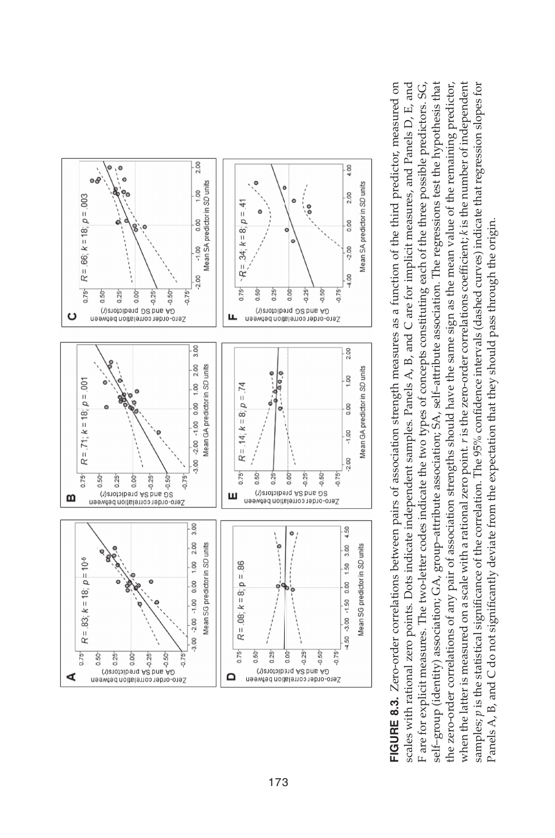

**FIGURE 8.3.** Zero-order correlations between pairs of association strength measures as a function of the third predictor, measured on scales with rational zero points. Dots indicate independent samples. Panels A, B, and C are for implicit measures, and Panels D, E, and F are for explicit measures. The two-letter codes indicate the two types of concepts constituting each of the three possible predictors. SG, that self–group (identity) association; GA, group–attribute association; SA, self–attribute association. The regressions test the hypothesis that the zero-order correlations of any pair of association strengths should have the same sign as the mean value of the remaining predictor, when the latter is measured on a scale with a rational zero point. *r* is the zero-order correlations coefficient; *k* is the number of independent samples; *p* is the statistical significance of the correlation. The 95% confidence intervals (dashed curves) indicate that regression slopes for when the latter is measured on a scale with a rational zero point. r is the zero-order correlations coefficient; k is the number of independent samples; p is the statistical significance of the correlation. The 95% confidence intervals (dashed curves) indicate that regression slopes for FIGURE 8.3. Zero-order correlations between pairs of association strength measures as a function of the third predictor, measured on scales with rational zero points. Dots indicate independent samples. Panels A, B, and C are for implicit measures, and Panels D, E, and Fare for explicit measures. The two-letter codes indicate the two types of concepts constituting each of the three possible predictors. SG, the zero-order correlations of any pair of association strengths should have the same sign as the mean value of the remaining predictor, self-group (identity) association; GA, group-attribute association; SA, self-attribute association. The regressions test the hypothesis Panels A, B, and C do not significantly deviate from the expectation that they should pass through the origin. Panels A, B, and C do not significantly deviate from the expectation that they should pass through the origin.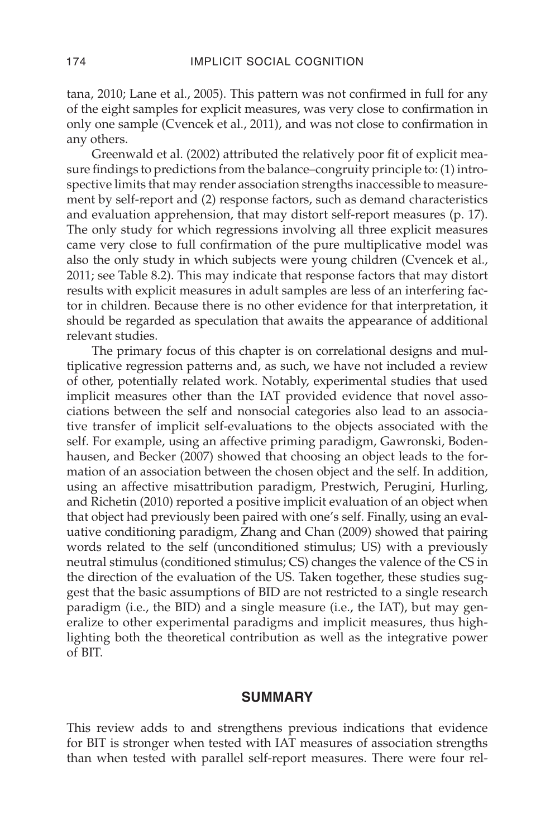tana, 2010; Lane et al., 2005). This pattern was not confirmed in full for any of the eight samples for explicit measures, was very close to confirmation in only one sample (Cvencek et al., 2011), and was not close to confirmation in any others.

Greenwald et al. (2002) attributed the relatively poor fit of explicit measure findings to predictions from the balance–congruity principle to: (1) introspective limits that may render association strengths inaccessible to measurement by self-report and (2) response factors, such as demand characteristics and evaluation apprehension, that may distort self-report measures (p. 17). The only study for which regressions involving all three explicit measures came very close to full confirmation of the pure multiplicative model was also the only study in which subjects were young children (Cvencek et al., 2011; see Table 8.2). This may indicate that response factors that may distort results with explicit measures in adult samples are less of an interfering factor in children. Because there is no other evidence for that interpretation, it should be regarded as speculation that awaits the appearance of additional relevant studies.

The primary focus of this chapter is on correlational designs and multiplicative regression patterns and, as such, we have not included a review of other, potentially related work. Notably, experimental studies that used implicit measures other than the IAT provided evidence that novel associations between the self and nonsocial categories also lead to an associative transfer of implicit self-evaluations to the objects associated with the self. For example, using an affective priming paradigm, Gawronski, Bodenhausen, and Becker (2007) showed that choosing an object leads to the formation of an association between the chosen object and the self. In addition, using an affective misattribution paradigm, Prestwich, Perugini, Hurling, and Richetin (2010) reported a positive implicit evaluation of an object when that object had previously been paired with one's self. Finally, using an evaluative conditioning paradigm, Zhang and Chan (2009) showed that pairing words related to the self (unconditioned stimulus; US) with a previously neutral stimulus (conditioned stimulus; CS) changes the valence of the CS in the direction of the evaluation of the US. Taken together, these studies suggest that the basic assumptions of BID are not restricted to a single research paradigm (i.e., the BID) and a single measure (i.e., the IAT), but may generalize to other experimental paradigms and implicit measures, thus highlighting both the theoretical contribution as well as the integrative power of BIT.

#### **Summary**

This review adds to and strengthens previous indications that evidence for BIT is stronger when tested with IAT measures of association strengths than when tested with parallel self-report measures. There were four rel-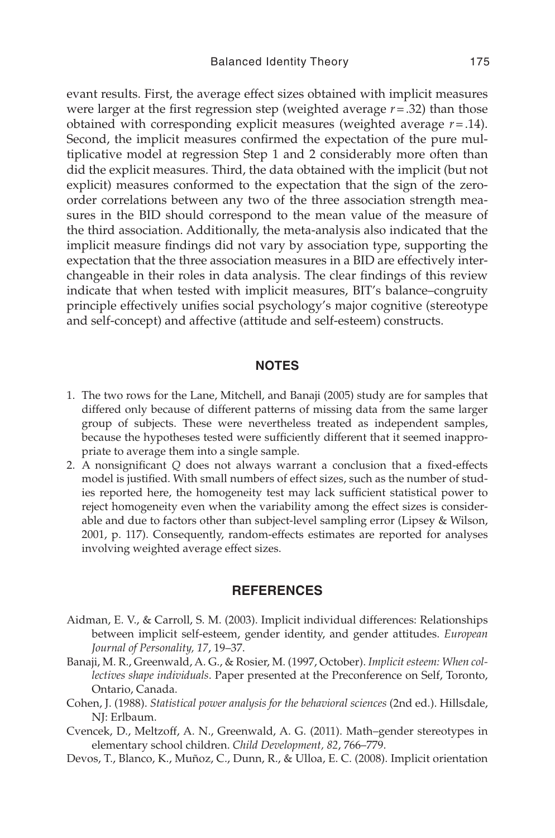evant results. First, the average effect sizes obtained with implicit measures were larger at the first regression step (weighted average *r*=.32) than those obtained with corresponding explicit measures (weighted average  $r = .14$ ). Second, the implicit measures confirmed the expectation of the pure multiplicative model at regression Step 1 and 2 considerably more often than did the explicit measures. Third, the data obtained with the implicit (but not explicit) measures conformed to the expectation that the sign of the zeroorder correlations between any two of the three association strength measures in the BID should correspond to the mean value of the measure of the third association. Additionally, the meta-analysis also indicated that the implicit measure findings did not vary by association type, supporting the expectation that the three association measures in a BID are effectively interchangeable in their roles in data analysis. The clear findings of this review indicate that when tested with implicit measures, BIT's balance–congruity principle effectively unifies social psychology's major cognitive (stereotype and self-concept) and affective (attitude and self-esteem) constructs.

#### **Notes**

- 1. The two rows for the Lane, Mitchell, and Banaji (2005) study are for samples that differed only because of different patterns of missing data from the same larger group of subjects. These were nevertheless treated as independent samples, because the hypotheses tested were sufficiently different that it seemed inappropriate to average them into a single sample.
- 2. A nonsignificant *Q* does not always warrant a conclusion that a fixed-effects model is justified. With small numbers of effect sizes, such as the number of studies reported here, the homogeneity test may lack sufficient statistical power to reject homogeneity even when the variability among the effect sizes is considerable and due to factors other than subject-level sampling error (Lipsey & Wilson, 2001, p. 117). Consequently, random-effects estimates are reported for analyses involving weighted average effect sizes.

#### **References**

- Aidman, E. V., & Carroll, S. M. (2003). Implicit individual differences: Relationships between implicit self-esteem, gender identity, and gender attitudes. *European Journal of Personality, 17*, 19–37.
- Banaji, M. R., Greenwald, A. G., & Rosier, M. (1997, October). *Implicit esteem: When collectives shape individuals*. Paper presented at the Preconference on Self, Toronto, Ontario, Canada.
- Cohen, J. (1988). *Statistical power analysis for the behavioral sciences* (2nd ed.). Hillsdale, NJ: Erlbaum.
- Cvencek, D., Meltzoff, A. N., Greenwald, A. G. (2011). Math–gender stereotypes in elementary school children. *Child Development, 82*, 766–779.
- Devos, T., Blanco, K., Muñoz, C., Dunn, R., & Ulloa, E. C. (2008). Implicit orientation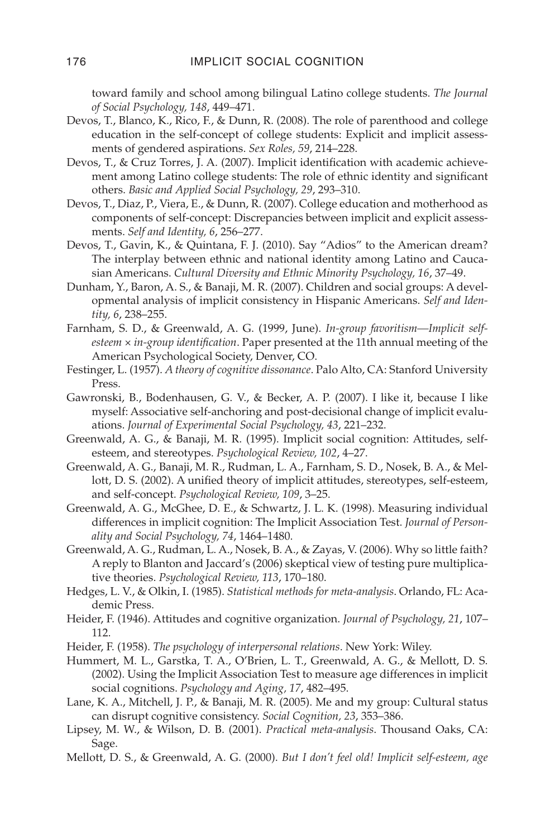toward family and school among bilingual Latino college students. *The Journal of Social Psychology, 148*, 449–471.

- Devos, T., Blanco, K., Rico, F., & Dunn, R. (2008). The role of parenthood and college education in the self-concept of college students: Explicit and implicit assessments of gendered aspirations. *Sex Roles, 59*, 214–228.
- Devos, T., & Cruz Torres, J. A. (2007). Implicit identification with academic achievement among Latino college students: The role of ethnic identity and significant others. *Basic and Applied Social Psychology, 29*, 293–310.
- Devos, T., Diaz, P., Viera, E., & Dunn, R. (2007). College education and motherhood as components of self-concept: Discrepancies between implicit and explicit assessments. *Self and Identity, 6*, 256–277.
- Devos, T., Gavin, K., & Quintana, F. J. (2010). Say "Adios" to the American dream? The interplay between ethnic and national identity among Latino and Caucasian Americans. *Cultural Diversity and Ethnic Minority Psychology, 16*, 37–49.
- Dunham, Y., Baron, A. S., & Banaji, M. R. (2007). Children and social groups: A developmental analysis of implicit consistency in Hispanic Americans. *Self and Identity, 6*, 238–255.
- Farnham, S. D., & Greenwald, A. G. (1999, June). *In-group favoritism—Implicit selfesteem × in-group identification*. Paper presented at the 11th annual meeting of the American Psychological Society, Denver, CO.
- Festinger, L. (1957). *A theory of cognitive dissonance*. Palo Alto, CA: Stanford University Press.
- Gawronski, B., Bodenhausen, G. V., & Becker, A. P. (2007). I like it, because I like myself: Associative self-anchoring and post-decisional change of implicit evaluations. *Journal of Experimental Social Psychology, 43*, 221–232.
- Greenwald, A. G., & Banaji, M. R. (1995). Implicit social cognition: Attitudes, selfesteem, and stereotypes. *Psychological Review, 102*, 4–27.
- Greenwald, A. G., Banaji, M. R., Rudman, L. A., Farnham, S. D., Nosek, B. A., & Mellott, D. S. (2002). A unified theory of implicit attitudes, stereotypes, self-esteem, and self-concept. *Psychological Review, 109*, 3–25.
- Greenwald, A. G., McGhee, D. E., & Schwartz, J. L. K. (1998). Measuring individual differences in implicit cognition: The Implicit Association Test. *Journal of Personality and Social Psychology, 74*, 1464–1480.
- Greenwald, A. G., Rudman, L. A., Nosek, B. A., & Zayas, V. (2006). Why so little faith? A reply to Blanton and Jaccard's (2006) skeptical view of testing pure multiplicative theories. *Psychological Review, 113*, 170–180.
- Hedges, L. V., & Olkin, I. (1985). *Statistical methods for meta-analysis*. Orlando, FL: Academic Press.
- Heider, F. (1946). Attitudes and cognitive organization. *Journal of Psychology, 21*, 107– 112.
- Heider, F. (1958). *The psychology of interpersonal relations*. New York: Wiley.
- Hummert, M. L., Garstka, T. A., O'Brien, L. T., Greenwald, A. G., & Mellott, D. S. (2002). Using the Implicit Association Test to measure age differences in implicit social cognitions. *Psychology and Aging, 17*, 482–495.
- Lane, K. A., Mitchell, J. P., & Banaji, M. R. (2005). Me and my group: Cultural status can disrupt cognitive consistency. *Social Cognition, 23*, 353–386.
- Lipsey, M. W., & Wilson, D. B. (2001). *Practical meta-analysis*. Thousand Oaks, CA: Sage.
- Mellott, D. S., & Greenwald, A. G. (2000). *But I don't feel old! Implicit self-esteem, age*